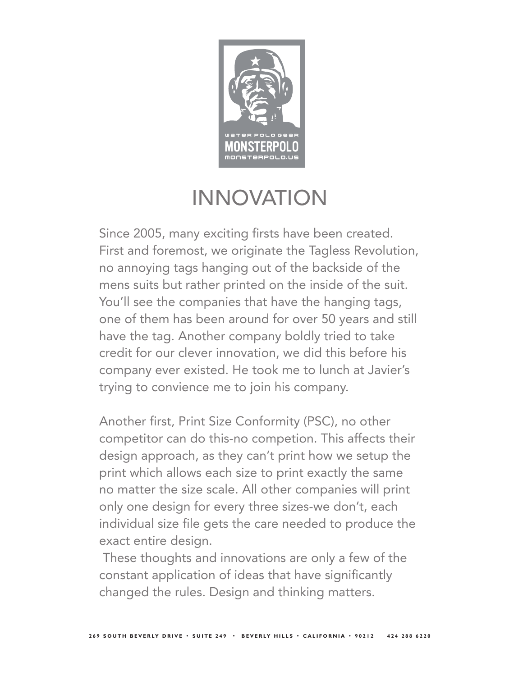

#### INNOVATION

Since 2005, many exciting firsts have been created. First and foremost, we originate the Tagless Revolution, no annoying tags hanging out of the backside of the mens suits but rather printed on the inside of the suit. You'll see the companies that have the hanging tags, one of them has been around for over 50 years and still have the tag. Another company boldly tried to take credit for our clever innovation, we did this before his company ever existed. He took me to lunch at Javier's trying to convience me to join his company.

Another first, Print Size Conformity (PSC), no other competitor can do this-no competion. This affects their design approach, as they can't print how we setup the print which allows each size to print exactly the same no matter the size scale. All other companies will print only one design for every three sizes-we don't, each individual size file gets the care needed to produce the exact entire design.

 These thoughts and innovations are only a few of the constant application of ideas that have significantly changed the rules. Design and thinking matters.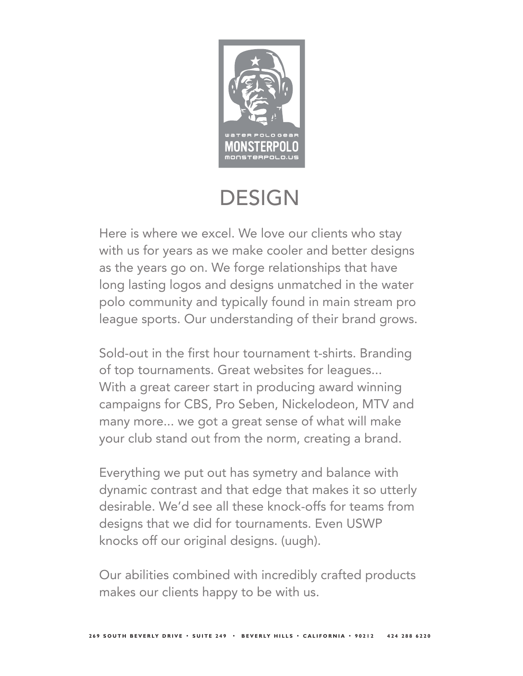

### **DESIGN**

Here is where we excel. We love our clients who stay with us for years as we make cooler and better designs as the years go on. We forge relationships that have long lasting logos and designs unmatched in the water polo community and typically found in main stream pro league sports. Our understanding of their brand grows.

Sold-out in the first hour tournament t-shirts. Branding of top tournaments. Great websites for leagues... With a great career start in producing award winning campaigns for CBS, Pro Seben, Nickelodeon, MTV and many more... we got a great sense of what will make your club stand out from the norm, creating a brand.

Everything we put out has symetry and balance with dynamic contrast and that edge that makes it so utterly desirable. We'd see all these knock-offs for teams from designs that we did for tournaments. Even USWP knocks off our original designs. (uugh).

Our abilities combined with incredibly crafted products makes our clients happy to be with us.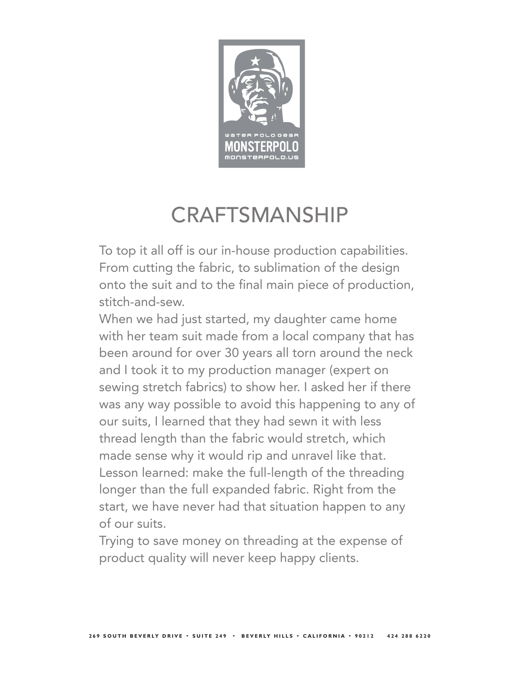

# **CRAFTSMANSHIP**

To top it all off is our in-house production capabilities. From cutting the fabric, to sublimation of the design onto the suit and to the final main piece of production, stitch-and-sew.

When we had just started, my daughter came home with her team suit made from a local company that has been around for over 30 years all torn around the neck and I took it to my production manager (expert on sewing stretch fabrics) to show her. I asked her if there was any way possible to avoid this happening to any of our suits, I learned that they had sewn it with less thread length than the fabric would stretch, which made sense why it would rip and unravel like that. Lesson learned: make the full-length of the threading longer than the full expanded fabric. Right from the start, we have never had that situation happen to any of our suits.

Trying to save money on threading at the expense of product quality will never keep happy clients.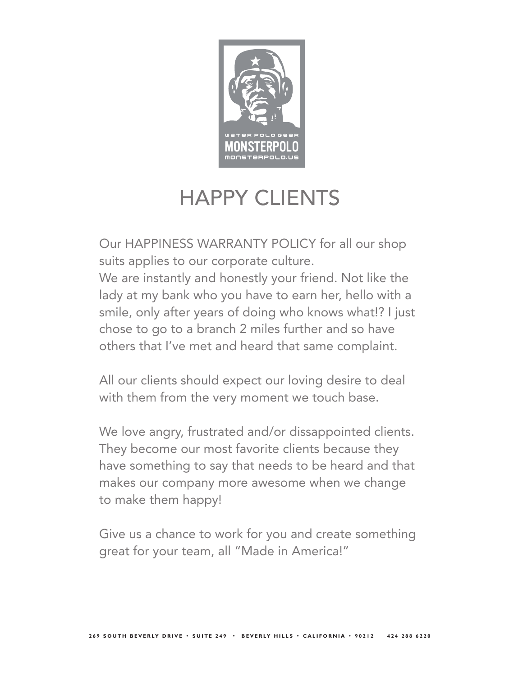

## HAPPY CLIENTS

Our HAPPINESS WARRANTY POLICY for all our shop suits applies to our corporate culture.

We are instantly and honestly your friend. Not like the lady at my bank who you have to earn her, hello with a smile, only after years of doing who knows what!? I just chose to go to a branch 2 miles further and so have others that I've met and heard that same complaint.

All our clients should expect our loving desire to deal with them from the very moment we touch base.

We love angry, frustrated and/or dissappointed clients. They become our most favorite clients because they have something to say that needs to be heard and that makes our company more awesome when we change to make them happy!

Give us a chance to work for you and create something great for your team, all "Made in America!"